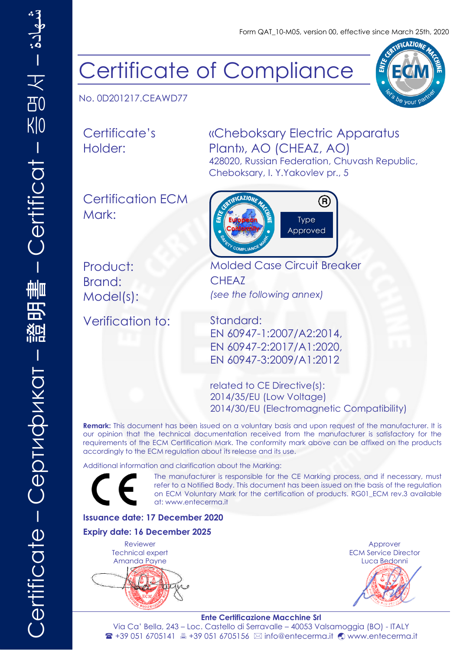Form QAT\_10-M05, version 00, effective since March 25th, 2020

# Certificate of Compliance

No. 0D201217.CEAWD77

Certificate's Holder:

### «Cheboksary Electric Apparatus Plant», АО (CHEAZ, АО) 428020, Russian Federation, Chuvash Republic,

Certification ECM



Cheboksary, I. Y.Yakovlev pr., 5

Brand: CHEAZ

Mark:

Verification to: Standard:

Product: Molded Case Circuit Breaker Model(s): *(see the following annex)*

> EN 60947-1:2007/A2:2014, EN 60947-2:2017/A1:2020, EN 60947-3:2009/A1:2012

related to CE Directive(s): 2014/35/EU (Low Voltage) 2014/30/EU (Electromagnetic Compatibility)

**Remark:** This document has been issued on a voluntary basis and upon request of the manufacturer. It is our opinion that the technical documentation received from the manufacturer is satisfactory for the requirements of the ECM Certification Mark. The conformity mark above can be affixed on the products accordingly to the ECM regulation about its release and its use.

Additional information and clarification about the Marking:

The manufacturer is responsible for the CE Marking process, and if necessary, must refer to a Notified Body. This document has been issued on the basis of the regulation on ECM Voluntary Mark for the certification of products. RG01\_ECM rev.3 available at: [www.entecerma.it](http://www.entecerma.it/)

#### **Issuance date: 17 December 2020**

#### **Expiry date: 16 December 2025**

Reviewer Technical expert Amanda Payne

Approver ECM Service Director Luca Bedonni

#### **Ente Certificazione Macchine Srl**

Via Ca' Bella, 243 – Loc. Castello di Serravalle – 40053 Valsamoggia (BO) - ITALY <sup>2</sup> +39 051 6705141 ■ +39 051 6705156 ⊠ info@entecerma.it © www.entecerma.it